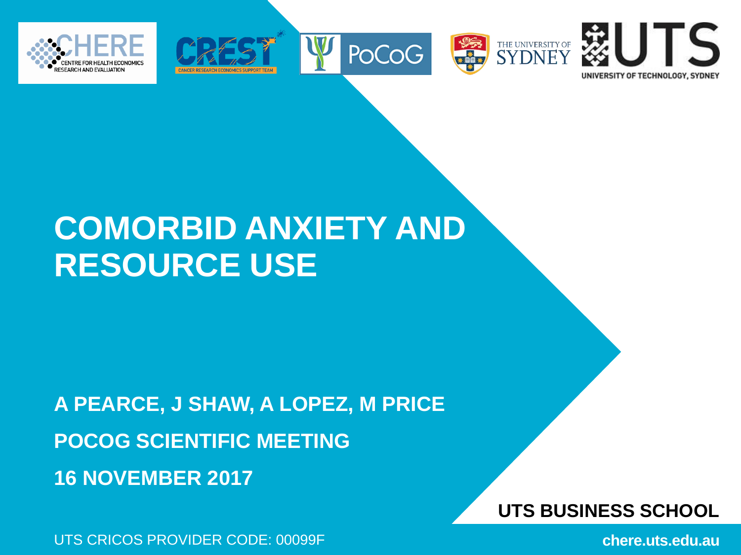









## **COMORBID ANXIETY AND RESOURCE USE**

**A PEARCE, J SHAW, A LOPEZ, M PRICE POCOG SCIENTIFIC MEETING 16 NOVEMBER 2017**

UTS CRICOS PROVIDER CODE: 00099F

**UTS BUSINESS SCHOOL**

**chere.uts.edu.au**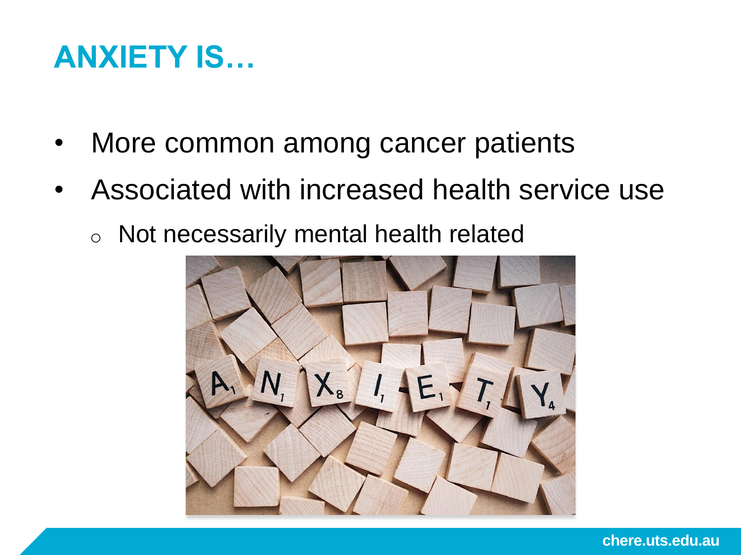### **ANXIETY IS…**

- More common among cancer patients
- Associated with increased health service use
	- o Not necessarily mental health related

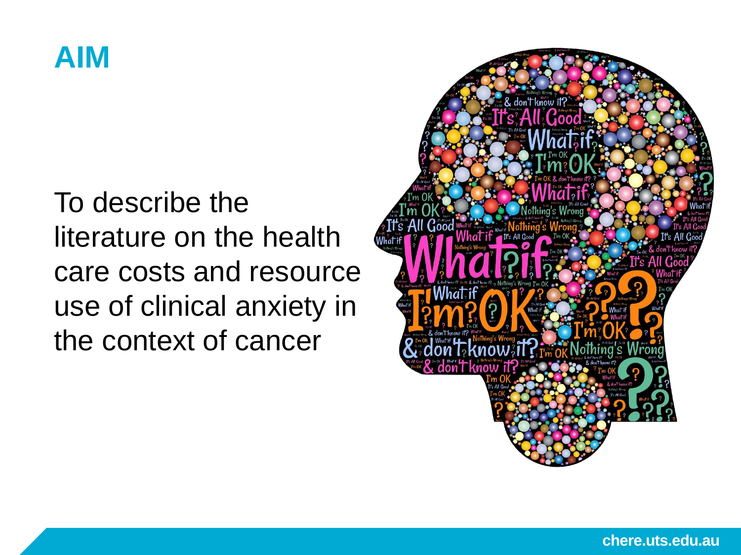### **AIM**

To describe the literature on the health care costs and resource use of clinical anxiety in the context of cancer

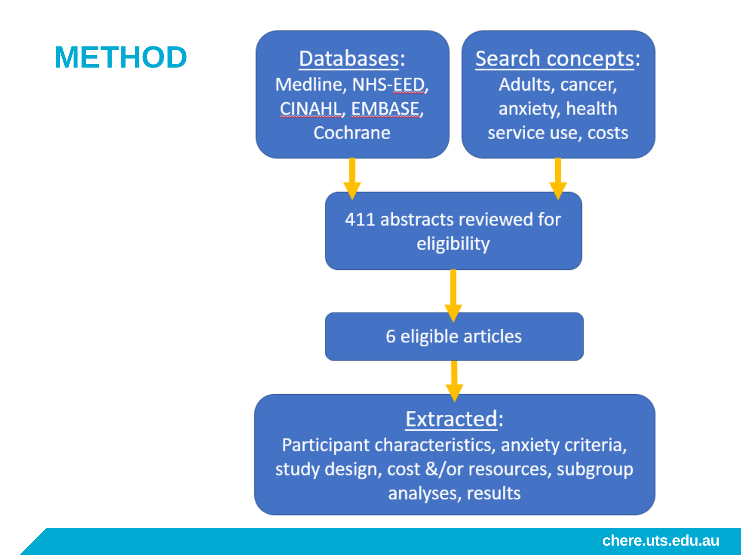### **METHOD**

Databases: Medline, NHS-EED, CINAHL, EMBASE, Cochrane

Search concepts: Adults, cancer, anxiety, health service use, costs

411 abstracts reviewed for eligibility

6 eligible articles

#### **Extracted:**

Participant characteristics, anxiety criteria, study design, cost &/or resources, subgroup analyses, results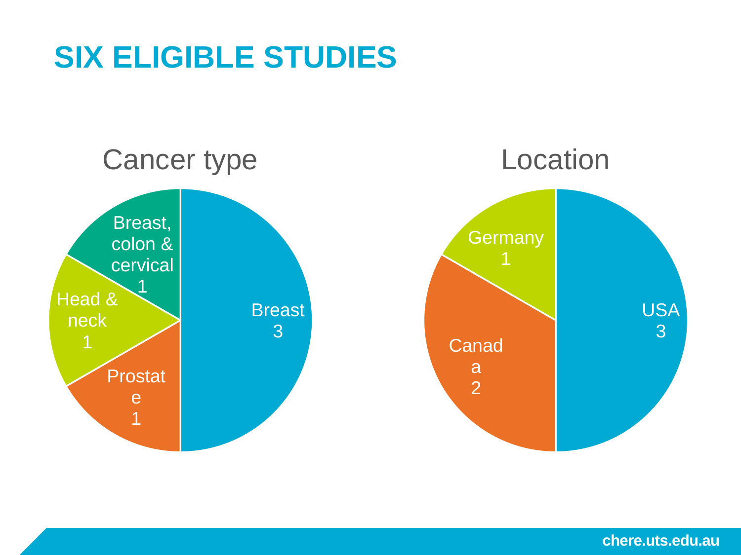## **SIX ELIGIBLE STUDIES**

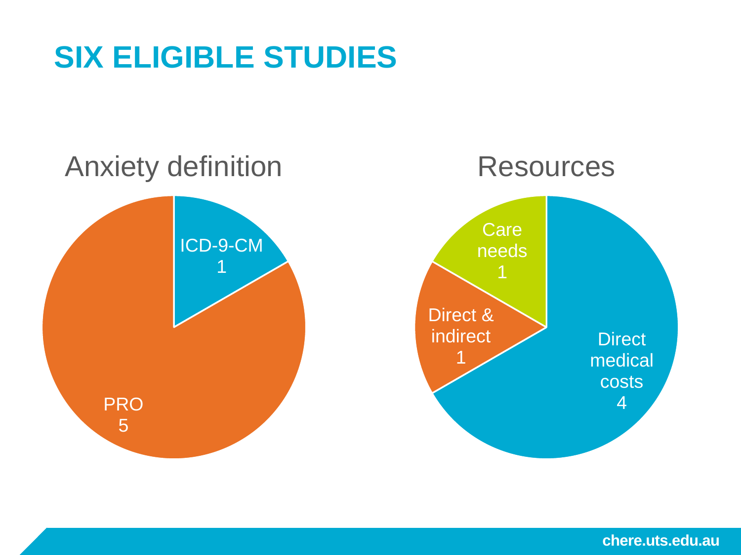## **SIX ELIGIBLE STUDIES**

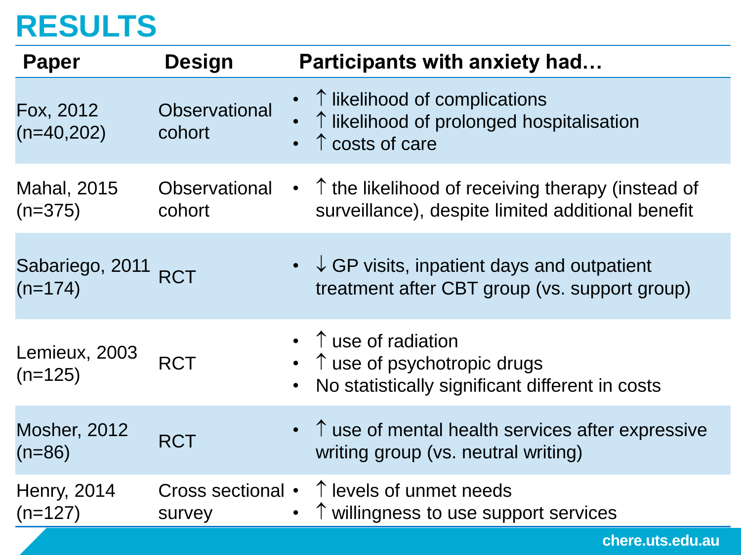### **RESULTS**

| <b>Paper</b>                     | <b>Design</b>                  | <b>Participants with anxiety had</b>                                                                                         |
|----------------------------------|--------------------------------|------------------------------------------------------------------------------------------------------------------------------|
| Fox, 2012<br>$(n=40,202)$        | <b>Observational</b><br>cohort | ↑ likelihood of complications<br>↑ likelihood of prolonged hospitalisation<br>$\uparrow$ costs of care                       |
| <b>Mahal, 2015</b><br>$(n=375)$  | <b>Observational</b><br>cohort | $\uparrow$ the likelihood of receiving therapy (instead of<br>$\bullet$<br>surveillance), despite limited additional benefit |
| Sabariego, 2011 RCT<br>$(n=174)$ |                                | • $\downarrow$ GP visits, inpatient days and outpatient<br>treatment after CBT group (vs. support group)                     |
| Lemieux, 2003<br>$(n=125)$       | <b>RCT</b>                     | $\uparrow$ use of radiation<br>↑ use of psychotropic drugs<br>$\bullet$<br>No statistically significant different in costs   |
| <b>Mosher, 2012</b><br>$(n=86)$  | <b>RCT</b>                     | $\bullet$ $\uparrow$ use of mental health services after expressive<br>writing group (vs. neutral writing)                   |
| <b>Henry, 2014</b><br>$(n=127)$  | survey                         | Cross sectional $\cdot$ $\uparrow$ levels of unmet needs<br>↑ willingness to use support services                            |